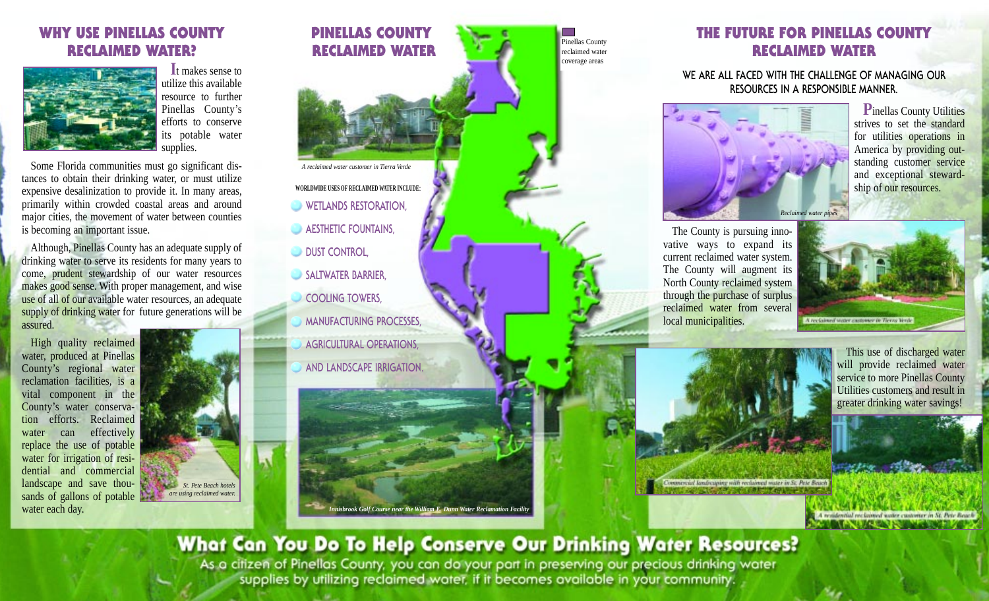## **WHY USE PINELLAS COUNTY RECLAIMED WATER?**



**I**t makes sense to utilize this available resource to further Pinellas County's efforts to conserve its potable water supplies.

Some Florida communities must go significant distances to obtain their drinking water, or must utilize expensive desalinization to provide it. In many areas, primarily within crowded coastal areas and around major cities, the movement of water between counties is becoming an important issue.

Although, Pinellas County has an adequate supply of drinking water to serve its residents for many years to come, prudent stewardship of our water resources makes good sense. With proper management, and wise use of all of our available water resources, an adequate supply of drinking water for future generations will be assured.

High quality reclaimed water, produced at Pinellas County's regional water reclamation facilities, is a vital component in the County's water conservation efforts. Reclaimed water can effectively replace the use of potable water for irrigation of residential and commercial landscape and save thousands of gallons of potable water each day.



# **PINELLAS COUNTY RECLAIMED WATER** Pinellas County reclaimed water *A reclaimed water customer in Tierra Verde* **WORLDWIDE USES OF RECLAIMED WATER INCLUDE**: **WETLANDS RESTORATION, AESTHETIC FOUNTAINS. DUST CONTROL SALTWATER BARRIER COOLING TOWERS, MANUFACTURING PROCESSES, AGRICULTURAL OPERATIONS, AND LANDSCAPE IRRIGATION.** *Innisbrook Golf Course near the William E. Dunn Water Reclamation Facility*

coverage areas

# **THE FUTURE FOR PINELLAS COUNTY RECLAIMED WATER**

#### **WE ARE ALL FACED WITH THE CHALLENGE OF MANAGING OUR RESOURCES IN A RESPONSIBLE MANNER.**



**P**inellas County Utilities strives to set the standard for utilities operations in America by providing outstanding customer service and exceptional stewardship of our resources.

The County is pursuing innovative ways to expand its current reclaimed water system. The County will augment its North County reclaimed system through the purchase of surplus reclaimed water from several local municipalities.

A performed water castomer in Tierro Ven-



This use of discharged water will provide reclaimed water service to more Pinellas County Utilities customers and result in greater drinking water savings!

reclaimed water customer in St. Pete Reach

# What Can You Do To Help Conserve Our Drinking Water Resources?

As a citizen of Pinellas County, you can do your part in preserving our precious drinking water supplies by utilizing reclaimed water, if it becomes available in your community.